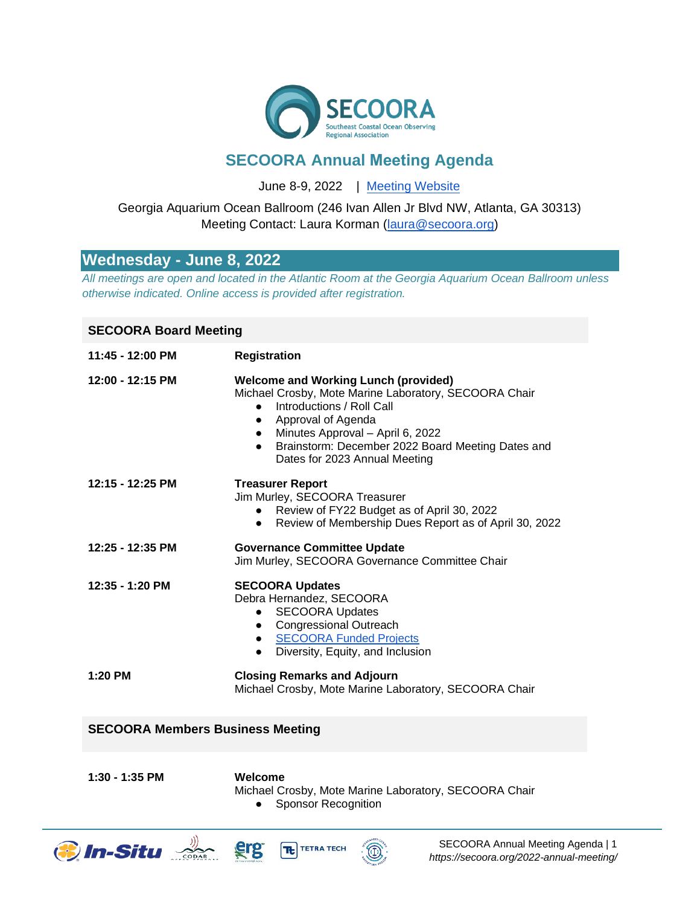

# **SECOORA Annual Meeting Agenda**

June 8-9, 2022 [| Meeting Website](https://secoora.org/2022-annual-meeting/)

### Georgia Aquarium Ocean Ballroom (246 Ivan Allen Jr Blvd NW, Atlanta, GA 30313) Meeting Contact: Laura Korman [\(laura@secoora.org\)](mailto:laura@secoora.org)

## **Wednesday - June 8, 2022**

*All meetings are open and located in the Atlantic Room at the Georgia Aquarium Ocean Ballroom unless otherwise indicated. Online access is provided after registration.*

#### **SECOORA Board Meeting**

| 11:45 - 12:00 PM | <b>Registration</b>                                                                                                                                                                                                                                                                              |
|------------------|--------------------------------------------------------------------------------------------------------------------------------------------------------------------------------------------------------------------------------------------------------------------------------------------------|
| 12:00 - 12:15 PM | <b>Welcome and Working Lunch (provided)</b><br>Michael Crosby, Mote Marine Laboratory, SECOORA Chair<br>Introductions / Roll Call<br>• Approval of Agenda<br>Minutes Approval - April 6, 2022<br>Brainstorm: December 2022 Board Meeting Dates and<br>$\bullet$<br>Dates for 2023 Annual Meeting |
| 12:15 - 12:25 PM | <b>Treasurer Report</b><br>Jim Murley, SECOORA Treasurer<br>• Review of FY22 Budget as of April 30, 2022<br>Review of Membership Dues Report as of April 30, 2022<br>$\bullet$                                                                                                                   |
| 12:25 - 12:35 PM | <b>Governance Committee Update</b><br>Jim Murley, SECOORA Governance Committee Chair                                                                                                                                                                                                             |
| 12:35 - 1:20 PM  | <b>SECOORA Updates</b><br>Debra Hernandez, SECOORA<br><b>SECOORA Updates</b><br>$\bullet$<br>• Congressional Outreach<br>• SECOORA Funded Projects<br>Diversity, Equity, and Inclusion<br>$\bullet$                                                                                              |
| 1:20 PM          | <b>Closing Remarks and Adjourn</b><br>Michael Crosby, Mote Marine Laboratory, SECOORA Chair                                                                                                                                                                                                      |

#### **SECOORA Members Business Meeting**

**1:30 - 1:35 PM Welcome**

- 
- Michael Crosby, Mote Marine Laboratory, SECOORA Chair
	- Sponsor Recognition





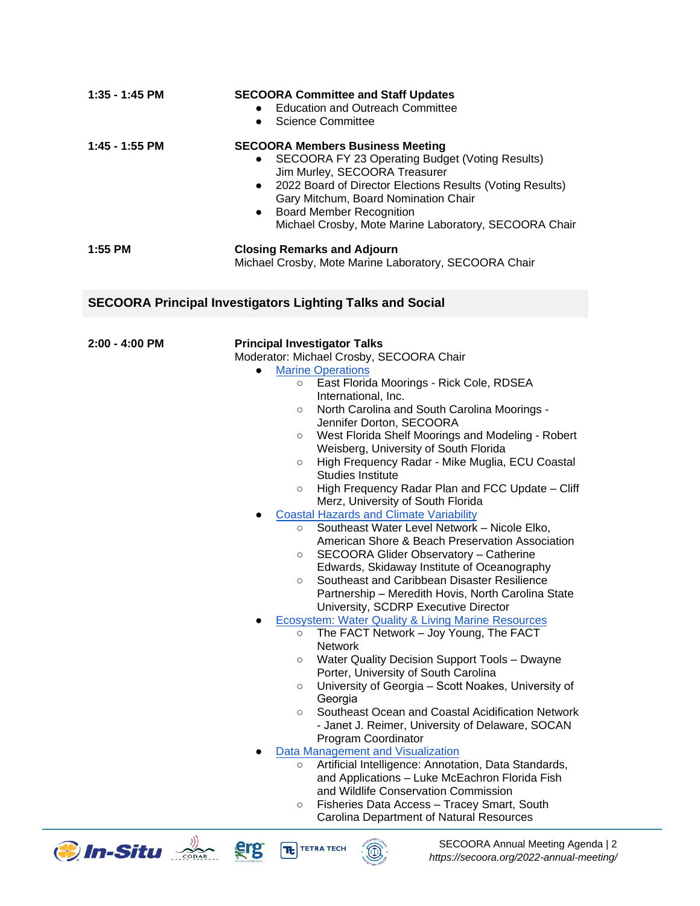| 1:35 - 1:45 PM | <b>SECOORA Committee and Staff Updates</b><br><b>Education and Outreach Committee</b><br>$\bullet$<br><b>Science Committee</b><br>$\bullet$                                                                                                                                                                                                                         |
|----------------|---------------------------------------------------------------------------------------------------------------------------------------------------------------------------------------------------------------------------------------------------------------------------------------------------------------------------------------------------------------------|
| 1:45 - 1:55 PM | <b>SECOORA Members Business Meeting</b><br>SECOORA FY 23 Operating Budget (Voting Results)<br>$\bullet$<br>Jim Murley, SECOORA Treasurer<br>2022 Board of Director Elections Results (Voting Results)<br>$\bullet$<br>Gary Mitchum, Board Nomination Chair<br><b>Board Member Recognition</b><br>$\bullet$<br>Michael Crosby, Mote Marine Laboratory, SECOORA Chair |
| 1:55 PM        | <b>Closing Remarks and Adjourn</b><br>Michael Crosby, Mote Marine Laboratory, SECOORA Chair                                                                                                                                                                                                                                                                         |
|                | <b>SECOORA Principal Investigators Lighting Talks and Social</b>                                                                                                                                                                                                                                                                                                    |
| 2:00 - 4:00 PM | <b>Principal Investigator Talks</b><br>Moderator: Michael Crosby, SECOORA Chair<br><b>Marine Operations</b><br>$\bullet$                                                                                                                                                                                                                                            |
|                | East Florida Moorings - Rick Cole, RDSEA<br>$\circ$<br>International, Inc.<br>North Carolina and South Carolina Moorings -<br>$\circ$                                                                                                                                                                                                                               |
|                | Jennifer Dorton, SECOORA<br>West Florida Shelf Moorings and Modeling - Robert<br>$\circ$<br>Weisberg, University of South Florida                                                                                                                                                                                                                                   |
|                | High Frequency Radar - Mike Muglia, ECU Coastal<br>$\circ$<br><b>Studies Institute</b><br>High Frequency Radar Plan and FCC Update - Cliff<br>$\circ$<br>Merz, University of South Florida                                                                                                                                                                          |
|                | <b>Coastal Hazards and Climate Variability</b><br>$\bullet$<br>Southeast Water Level Network - Nicole Elko,<br>$\circ$<br>American Shore & Beach Preservation Association                                                                                                                                                                                           |
|                | SECOORA Glider Observatory - Catherine<br>$\circ$<br>Edwards, Skidaway Institute of Oceanography<br>Southeast and Caribbean Disaster Resilience                                                                                                                                                                                                                     |
|                | $\circ$<br>Partnership - Meredith Hovis, North Carolina State<br>University, SCDRP Executive Director                                                                                                                                                                                                                                                               |
|                | <b>Ecosystem: Water Quality &amp; Living Marine Resources</b><br>The FACT Network – Joy Young, The FACT<br>$\circ$<br><b>Network</b>                                                                                                                                                                                                                                |
|                | Water Quality Decision Support Tools - Dwayne<br>O<br>Porter, University of South Carolina<br>University of Georgia – Scott Noakes, University of<br>$\circ$                                                                                                                                                                                                        |
|                | Georgia<br>Southeast Ocean and Coastal Acidification Network<br>$\circ$                                                                                                                                                                                                                                                                                             |
|                | - Janet J. Reimer, University of Delaware, SOCAN                                                                                                                                                                                                                                                                                                                    |
|                | Program Coordinator<br>Data Management and Visualization<br>Artificial Intelligence: Annotation, Data Standards,<br>$\circ$<br>and Applications - Luke McEachron Florida Fish                                                                                                                                                                                       |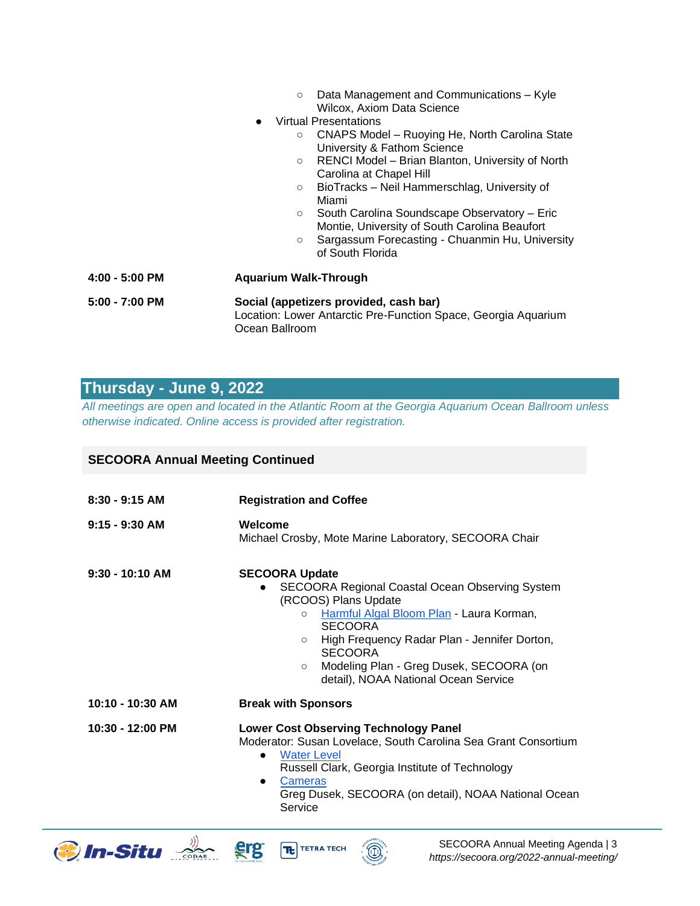- Data Management and Communications Kyle Wilcox, Axiom Data Science
- **Virtual Presentations** 
	- CNAPS Model Ruoying He, North Carolina State University & Fathom Science
	- RENCI Model Brian Blanton, University of North Carolina at Chapel Hill
	- BioTracks Neil Hammerschlag, University of Miami
	- South Carolina Soundscape Observatory Eric Montie, University of South Carolina Beaufort
	- Sargassum Forecasting Chuanmin Hu, University of South Florida

**4:00 - 5:00 PM Aquarium Walk-Through 5:00 - 7:00 PM Social (appetizers provided, cash bar)** Location: Lower Antarctic Pre-Function Space, Georgia Aquarium Ocean Ballroom

## **Thursday - June 9, 2022**

*All meetings are open and located in the Atlantic Room at the Georgia Aquarium Ocean Ballroom unless otherwise indicated. Online access is provided after registration.*

#### **SECOORA Annual Meeting Continued**

| $8:30 - 9:15$ AM   | <b>Registration and Coffee</b>                                                                                                                                                                                                                                                                                                                       |
|--------------------|------------------------------------------------------------------------------------------------------------------------------------------------------------------------------------------------------------------------------------------------------------------------------------------------------------------------------------------------------|
| $9:15 - 9:30$ AM   | Welcome<br>Michael Crosby, Mote Marine Laboratory, SECOORA Chair                                                                                                                                                                                                                                                                                     |
| $9:30 - 10:10$ AM  | <b>SECOORA Update</b><br>SECOORA Regional Coastal Ocean Observing System<br>(RCOOS) Plans Update<br>Harmful Algal Bloom Plan - Laura Korman,<br>$\circ$<br><b>SECOORA</b><br>High Frequency Radar Plan - Jennifer Dorton,<br>$\circ$<br><b>SECOORA</b><br>Modeling Plan - Greg Dusek, SECOORA (on<br>$\circ$<br>detail), NOAA National Ocean Service |
| 10:10 - 10:30 AM   | <b>Break with Sponsors</b>                                                                                                                                                                                                                                                                                                                           |
| $10:30 - 12:00$ PM | <b>Lower Cost Observing Technology Panel</b><br>Moderator: Susan Lovelace, South Carolina Sea Grant Consortium<br><b>Water Level</b><br>Russell Clark, Georgia Institute of Technology<br>Cameras<br>$\bullet$<br>Greg Dusek, SECOORA (on detail), NOAA National Ocean<br>Service                                                                    |